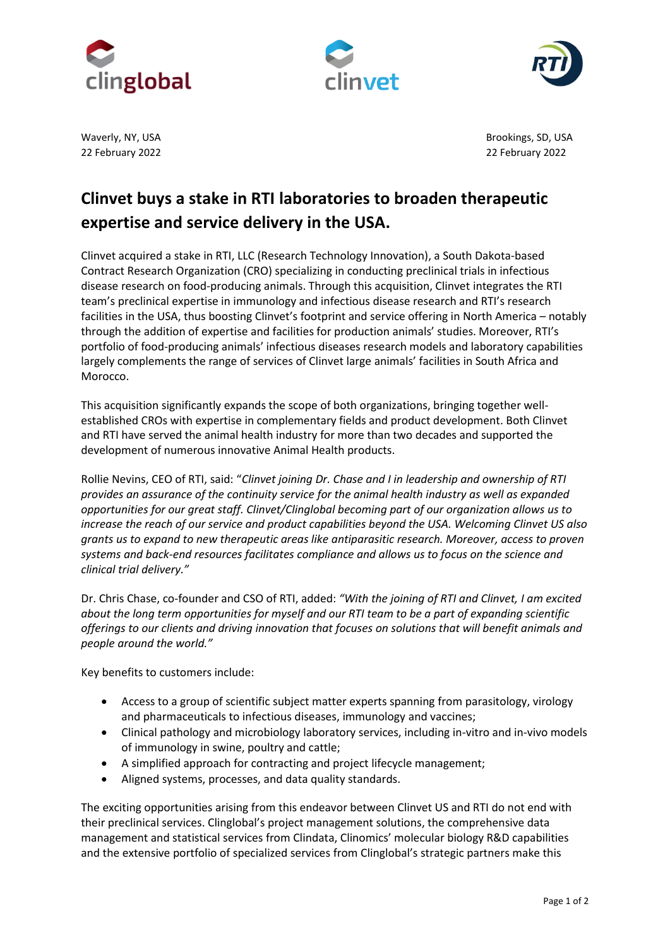





22 February 2022 22 February 2022

Waverly, NY, USA Brookings, SD, USA

## **Clinvet buys a stake in RTI laboratories to broaden therapeutic expertise and service delivery in the USA.**

Clinvet acquired a stake in RTI, LLC (Research Technology Innovation), a South Dakota-based Contract Research Organization (CRO) specializing in conducting preclinical trials in infectious disease research on food-producing animals. Through this acquisition, Clinvet integrates the RTI team's preclinical expertise in immunology and infectious disease research and RTI's research facilities in the USA, thus boosting Clinvet's footprint and service offering in North America – notably through the addition of expertise and facilities for production animals' studies. Moreover, RTI's portfolio of food-producing animals' infectious diseases research models and laboratory capabilities largely complements the range of services of Clinvet large animals' facilities in South Africa and Morocco.

This acquisition significantly expands the scope of both organizations, bringing together wellestablished CROs with expertise in complementary fields and product development. Both Clinvet and RTI have served the animal health industry for more than two decades and supported the development of numerous innovative Animal Health products.

Rollie Nevins, CEO of RTI, said: "*Clinvet joining Dr. Chase and I in leadership and ownership of RTI provides an assurance of the continuity service for the animal health industry as well as expanded opportunities for our great staff. Clinvet/Clinglobal becoming part of our organization allows us to increase the reach of our service and product capabilities beyond the USA. Welcoming Clinvet US also grants us to expand to new therapeutic areas like antiparasitic research. Moreover, access to proven systems and back-end resources facilitates compliance and allows us to focus on the science and clinical trial delivery."*

Dr. Chris Chase, co-founder and CSO of RTI, added: *"With the joining of RTI and Clinvet, I am excited about the long term opportunities for myself and our RTI team to be a part of expanding scientific offerings to our clients and driving innovation that focuses on solutions that will benefit animals and people around the world."*

Key benefits to customers include:

- Access to a group of scientific subject matter experts spanning from parasitology, virology and pharmaceuticals to infectious diseases, immunology and vaccines;
- Clinical pathology and microbiology laboratory services, including in-vitro and in-vivo models of immunology in swine, poultry and cattle;
- A simplified approach for contracting and project lifecycle management;
- Aligned systems, processes, and data quality standards.

The exciting opportunities arising from this endeavor between Clinvet US and RTI do not end with their preclinical services. Clinglobal's project management solutions, the comprehensive data management and statistical services from Clindata, Clinomics' molecular biology R&D capabilities and the extensive portfolio of specialized services from Clinglobal's strategic partners make this